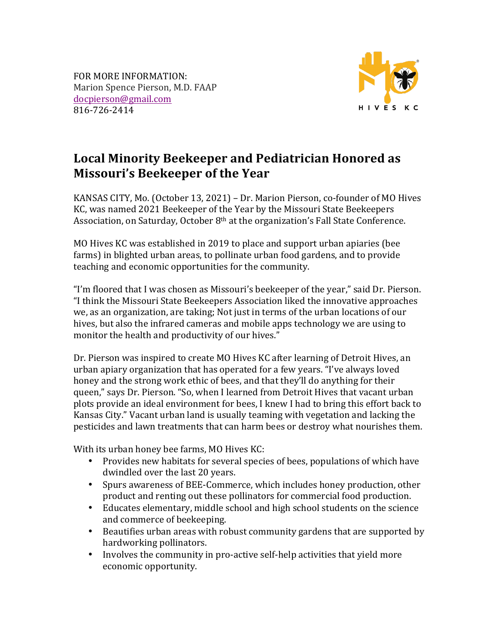FOR MORE INFORMATION: Marion Spence Pierson, M.D. FAAP docpierson@gmail.com 816-726-2414



## Local Minority Beekeeper and Pediatrician Honored as **Missouri's Beekeeper of the Year**

KANSAS CITY, Mo. (October 13, 2021) – Dr. Marion Pierson, co-founder of MO Hives KC, was named 2021 Beekeeper of the Year by the Missouri State Beekeepers Association, on Saturday, October  $8<sup>th</sup>$  at the organization's Fall State Conference.

MO Hives KC was established in 2019 to place and support urban apiaries (bee farms) in blighted urban areas, to pollinate urban food gardens, and to provide teaching and economic opportunities for the community.

"I'm floored that I was chosen as Missouri's beekeeper of the year," said Dr. Pierson. "I think the Missouri State Beekeepers Association liked the innovative approaches we, as an organization, are taking; Not just in terms of the urban locations of our hives, but also the infrared cameras and mobile apps technology we are using to monitor the health and productivity of our hives."

Dr. Pierson was inspired to create MO Hives KC after learning of Detroit Hives, an urban apiary organization that has operated for a few years. "I've always loved honey and the strong work ethic of bees, and that they'll do anything for their queen," says Dr. Pierson. "So, when I learned from Detroit Hives that vacant urban plots provide an ideal environment for bees, I knew I had to bring this effort back to Kansas City." Vacant urban land is usually teaming with vegetation and lacking the pesticides and lawn treatments that can harm bees or destroy what nourishes them.

With its urban honey bee farms, MO Hives KC:

- Provides new habitats for several species of bees, populations of which have dwindled over the last 20 years.
- Spurs awareness of BEE-Commerce, which includes honey production, other product and renting out these pollinators for commercial food production.
- Educates elementary, middle school and high school students on the science and commerce of beekeeping.
- Beautifies urban areas with robust community gardens that are supported by hardworking pollinators.
- Involves the community in pro-active self-help activities that yield more economic opportunity.